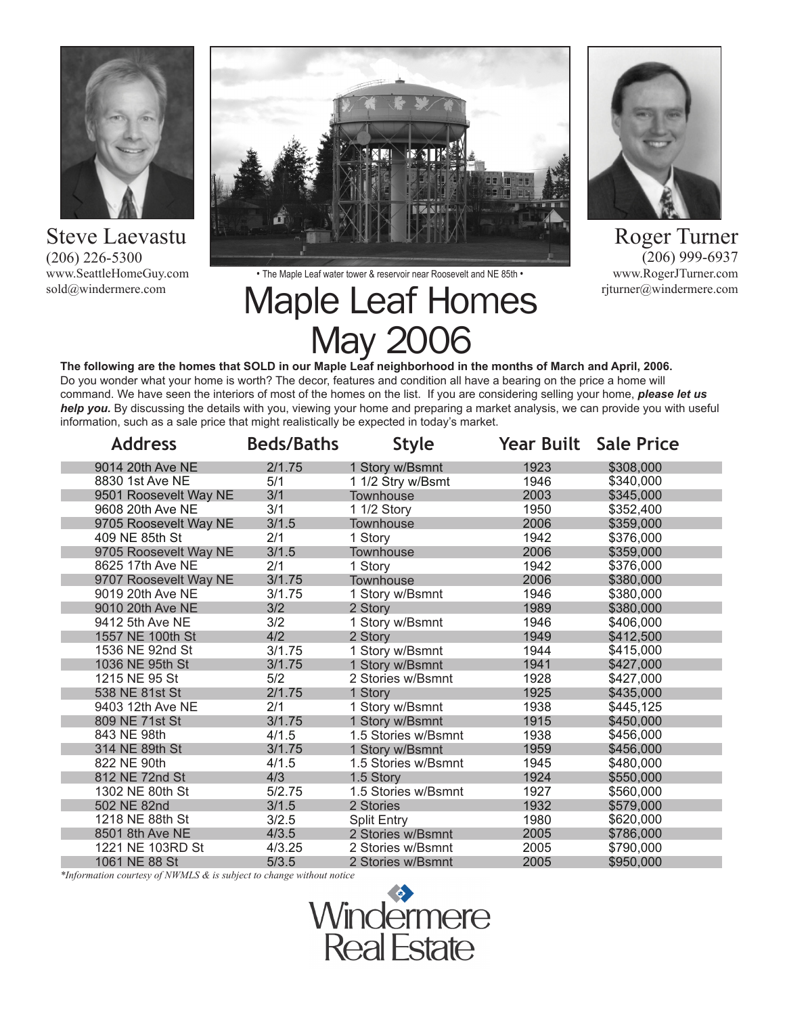

Steve Laevastu (206) 226-5300 www.SeattleHomeGuy.com sold@windermere.com





Roger Turner  $(206)$  999-6937 www.RogerJTurner.com rjturner@windermere.com

• The Maple Leaf water tower & reservoir near Roosevelt and NE 85th •

# Maple Leaf Homes May 2006

**The following are the homes that SOLD in our Maple Leaf neighborhood in the months of March and April, 2006.** Do you wonder what your home is worth? The decor, features and condition all have a bearing on the price a home will command. We have seen the interiors of most of the homes on the list. If you are considering selling your home, *please let us help you.* By discussing the details with you, viewing your home and preparing a market analysis, we can provide you with useful information, such as a sale price that might realistically be expected in today's market.

| <b>Address</b>        | <b>Beds/Baths</b> | Style               |      | <b>Year Built Sale Price</b> |
|-----------------------|-------------------|---------------------|------|------------------------------|
| 9014 20th Ave NE      | 2/1.75            | 1 Story w/Bsmnt     | 1923 | \$308,000                    |
| 8830 1st Ave NE       | 5/1               | 1 1/2 Stry w/Bsmt   | 1946 | \$340,000                    |
| 9501 Roosevelt Way NE | 3/1               | Townhouse           | 2003 | \$345,000                    |
| 9608 20th Ave NE      | 3/1               | 1 1/2 Story         | 1950 | \$352,400                    |
| 9705 Roosevelt Way NE | 3/1.5             | <b>Townhouse</b>    | 2006 | \$359,000                    |
| 409 NE 85th St        | 2/1               | 1 Story             | 1942 | \$376,000                    |
| 9705 Roosevelt Way NE | 3/1.5             | Townhouse           | 2006 | \$359,000                    |
| 8625 17th Ave NE      | 2/1               | 1 Story             | 1942 | \$376,000                    |
| 9707 Roosevelt Way NE | 3/1.75            | <b>Townhouse</b>    | 2006 | \$380,000                    |
| 9019 20th Ave NE      | 3/1.75            | 1 Story w/Bsmnt     | 1946 | \$380,000                    |
| 9010 20th Ave NE      | 3/2               | 2 Story             | 1989 | \$380,000                    |
| 9412 5th Ave NE       | 3/2               | 1 Story w/Bsmnt     | 1946 | \$406.000                    |
| 1557 NE 100th St      | 4/2               | 2 Story             | 1949 | \$412,500                    |
| 1536 NE 92nd St       | 3/1.75            | 1 Story w/Bsmnt     | 1944 | \$415,000                    |
| 1036 NE 95th St       | 3/1.75            | 1 Story w/Bsmnt     | 1941 | \$427,000                    |
| 1215 NE 95 St         | 5/2               | 2 Stories w/Bsmnt   | 1928 | \$427,000                    |
| 538 NE 81st St        | 2/1.75            | 1 Story             | 1925 | \$435,000                    |
| 9403 12th Ave NE      | 2/1               | 1 Story w/Bsmnt     | 1938 | \$445,125                    |
| 809 NE 71st St        | 3/1.75            | 1 Story w/Bsmnt     | 1915 | \$450,000                    |
| 843 NE 98th           | 4/1.5             | 1.5 Stories w/Bsmnt | 1938 | \$456,000                    |
| 314 NE 89th St        | 3/1.75            | 1 Story w/Bsmnt     | 1959 | \$456,000                    |
| 822 NE 90th           | 4/1.5             | 1.5 Stories w/Bsmnt | 1945 | \$480.000                    |
| 812 NE 72nd St        | 4/3               | 1.5 Story           | 1924 | \$550,000                    |
| 1302 NE 80th St       | 5/2.75            | 1.5 Stories w/Bsmnt | 1927 | \$560,000                    |
| 502 NE 82nd           | 3/1.5             | 2 Stories           | 1932 | \$579,000                    |
| 1218 NE 88th St       | 3/2.5             | <b>Split Entry</b>  | 1980 | \$620,000                    |
| 8501 8th Ave NE       | 4/3.5             | 2 Stories w/Bsmnt   | 2005 | \$786,000                    |
| 1221 NE 103RD St      | 4/3.25            | 2 Stories w/Bsmnt   | 2005 | \$790,000                    |
| 1061 NE 88 St         | 5/3.5             | 2 Stories w/Bsmnt   | 2005 | \$950,000                    |

*\*Information courtesy of NWMLS & is subject to change without notice*

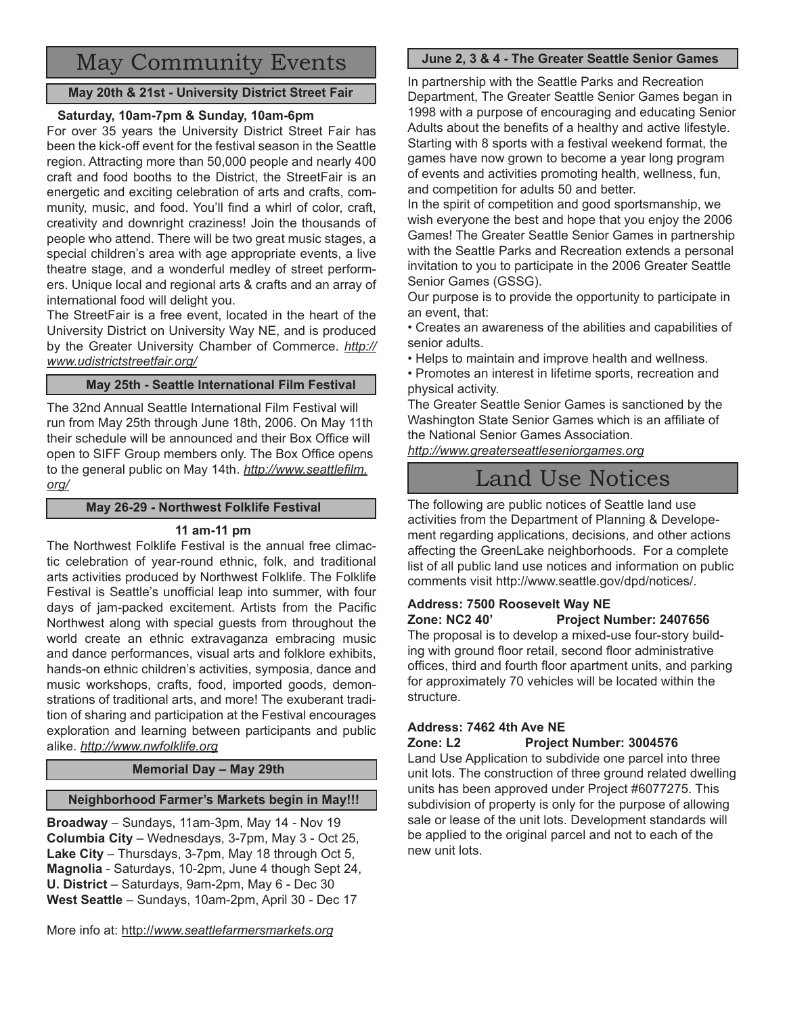# May Community Events

# **May 20th & 21st - University District Street Fair**

# **Saturday, 10am-7pm & Sunday, 10am-6pm**

For over 35 years the University District Street Fair has been the kick-off event for the festival season in the Seattle region. Attracting more than 50,000 people and nearly 400 craft and food booths to the District, the StreetFair is an energetic and exciting celebration of arts and crafts, community, music, and food. You'll find a whirl of color, craft, creativity and downright craziness! Join the thousands of people who attend. There will be two great music stages, a special children's area with age appropriate events, a live theatre stage, and a wonderful medley of street performers. Unique local and regional arts & crafts and an array of international food will delight you.

The StreetFair is a free event, located in the heart of the University District on University Way NE, and is produced by the Greater University Chamber of Commerce. *http:// www.udistrictstreetfair.org/*

# **May 25th - Seattle International Film Festival**

The 32nd Annual Seattle International Film Festival will run from May 25th through June 18th, 2006. On May 11th their schedule will be announced and their Box Office will open to SIFF Group members only. The Box Office opens to the general public on May 14th. *http://www.seattlefilm. org/*

## **May 26-29 - Northwest Folklife Festival**

# **11 am-11 pm**

The Northwest Folklife Festival is the annual free climactic celebration of year-round ethnic, folk, and traditional arts activities produced by Northwest Folklife. The Folklife Festival is Seattle's unofficial leap into summer, with four days of jam-packed excitement. Artists from the Pacific Northwest along with special guests from throughout the world create an ethnic extravaganza embracing music and dance performances, visual arts and folklore exhibits, hands-on ethnic children's activities, symposia, dance and music workshops, crafts, food, imported goods, demonstrations of traditional arts, and more! The exuberant tradition of sharing and participation at the Festival encourages exploration and learning between participants and public alike. *http://www.nwfolklife.org*

**Memorial Day – May 29th**

# **Neighborhood Farmer's Markets begin in May!!!**

**Broadway** – Sundays, 11am-3pm, May 14 - Nov 19 **Columbia City** – Wednesdays, 3-7pm, May 3 - Oct 25, **Lake City** – Thursdays, 3-7pm, May 18 through Oct 5, **Magnolia** - Saturdays, 10-2pm, June 4 though Sept 24, **U. District** – Saturdays, 9am-2pm, May 6 - Dec 30 **West Seattle** – Sundays, 10am-2pm, April 30 - Dec 17

# **June 2, 3 & 4 - The Greater Seattle Senior Games**

In partnership with the Seattle Parks and Recreation Department, The Greater Seattle Senior Games began in 1998 with a purpose of encouraging and educating Senior Adults about the benefits of a healthy and active lifestyle. Starting with 8 sports with a festival weekend format, the games have now grown to become a year long program of events and activities promoting health, wellness, fun, and competition for adults 50 and better.

In the spirit of competition and good sportsmanship, we wish everyone the best and hope that you enjoy the 2006 Games! The Greater Seattle Senior Games in partnership with the Seattle Parks and Recreation extends a personal invitation to you to participate in the 2006 Greater Seattle Senior Games (GSSG).

Our purpose is to provide the opportunity to participate in an event, that:

• Creates an awareness of the abilities and capabilities of senior adults.

- Helps to maintain and improve health and wellness.
- Promotes an interest in lifetime sports, recreation and physical activity.

The Greater Seattle Senior Games is sanctioned by the Washington State Senior Games which is an affiliate of the National Senior Games Association.

*http://www.greaterseattleseniorgames.org*

# Land Use Notices

The following are public notices of Seattle land use activities from the Department of Planning & Developement regarding applications, decisions, and other actions affecting the GreenLake neighborhoods. For a complete list of all public land use notices and information on public comments visit http://www.seattle.gov/dpd/notices/.

# **Address: 7500 Roosevelt Way NE Project Number: 2407656**

The proposal is to develop a mixed-use four-story building with ground floor retail, second floor administrative offices, third and fourth floor apartment units, and parking for approximately 70 vehicles will be located within the structure.

# **Address: 7462 4th Ave NE**

**Zone: L2 Project Number: 3004576**

Land Use Application to subdivide one parcel into three unit lots. The construction of three ground related dwelling units has been approved under Project #6077275. This subdivision of property is only for the purpose of allowing sale or lease of the unit lots. Development standards will be applied to the original parcel and not to each of the new unit lots.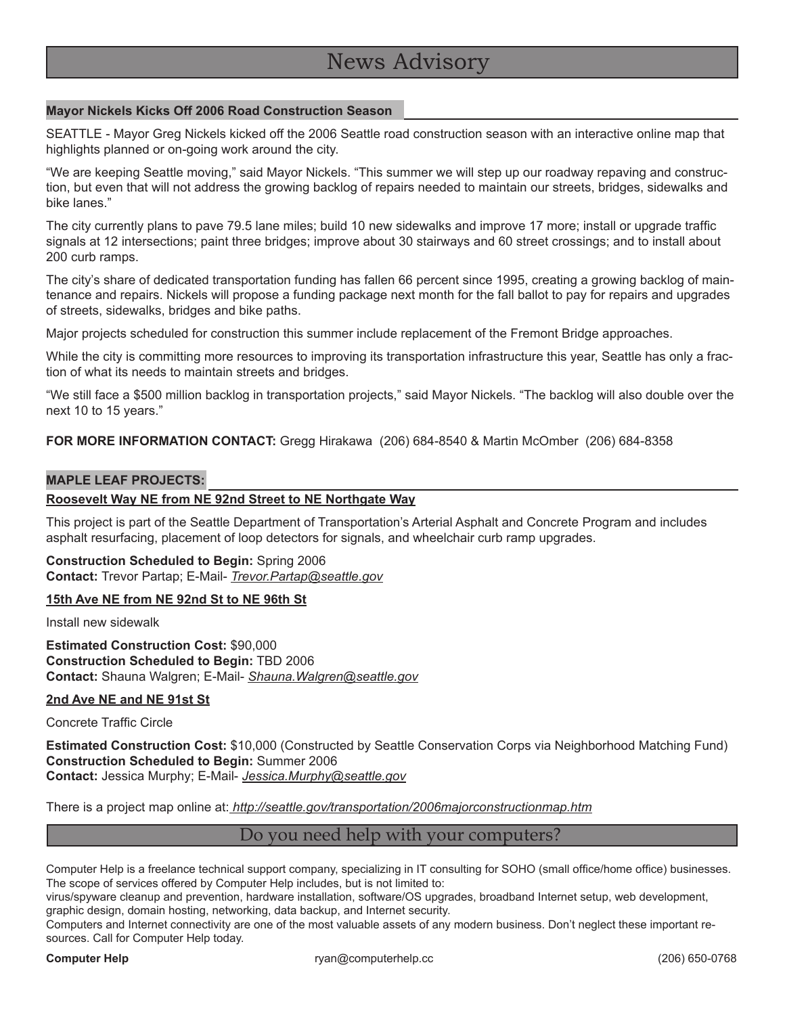# News Advisory

#### **Mayor Nickels Kicks Off 2006 Road Construction Season**

SEATTLE - Mayor Greg Nickels kicked off the 2006 Seattle road construction season with an interactive online map that highlights planned or on-going work around the city.

"We are keeping Seattle moving," said Mayor Nickels. "This summer we will step up our roadway repaving and construction, but even that will not address the growing backlog of repairs needed to maintain our streets, bridges, sidewalks and bike lanes."

The city currently plans to pave 79.5 lane miles; build 10 new sidewalks and improve 17 more; install or upgrade traffic signals at 12 intersections; paint three bridges; improve about 30 stairways and 60 street crossings; and to install about 200 curb ramps.

The city's share of dedicated transportation funding has fallen 66 percent since 1995, creating a growing backlog of maintenance and repairs. Nickels will propose a funding package next month for the fall ballot to pay for repairs and upgrades of streets, sidewalks, bridges and bike paths.

Major projects scheduled for construction this summer include replacement of the Fremont Bridge approaches.

While the city is committing more resources to improving its transportation infrastructure this year, Seattle has only a fraction of what its needs to maintain streets and bridges.

"We still face a \$500 million backlog in transportation projects," said Mayor Nickels. "The backlog will also double over the next 10 to 15 years."

**FOR MORE INFORMATION CONTACT:** Gregg Hirakawa (206) 684-8540 & Martin McOmber (206) 684-8358

#### **MAPLE LEAF PROJECTS:**

#### **Roosevelt Way NE from NE 92nd Street to NE Northgate Way**

This project is part of the Seattle Department of Transportation's Arterial Asphalt and Concrete Program and includes asphalt resurfacing, placement of loop detectors for signals, and wheelchair curb ramp upgrades.

#### **Construction Scheduled to Begin:** Spring 2006 **Contact:** Trevor Partap; E-Mail- *Trevor.Partap@seattle.gov*

#### **15th Ave NE from NE 92nd St to NE 96th St**

Install new sidewalk

**Estimated Construction Cost:** \$90,000 **Construction Scheduled to Begin:** TBD 2006 **Contact:** Shauna Walgren; E-Mail- *Shauna.Walgren@seattle.gov*

#### **2nd Ave NE and NE 91st St**

Concrete Traffic Circle

**Estimated Construction Cost:** \$10,000 (Constructed by Seattle Conservation Corps via Neighborhood Matching Fund) **Construction Scheduled to Begin:** Summer 2006

**Contact:** Jessica Murphy; E-Mail- *Jessica.Murphy@seattle.gov*

There is a project map online at: *http://seattle.gov/transportation/2006majorconstructionmap.htm*

### Do you need help with your computers?

Computer Help is a freelance technical support company, specializing in IT consulting for SOHO (small office/home office) businesses. The scope of services offered by Computer Help includes, but is not limited to:

virus/spyware cleanup and prevention, hardware installation, software/OS upgrades, broadband Internet setup, web development, graphic design, domain hosting, networking, data backup, and Internet security.

Computers and Internet connectivity are one of the most valuable assets of any modern business. Don't neglect these important resources. Call for Computer Help today.